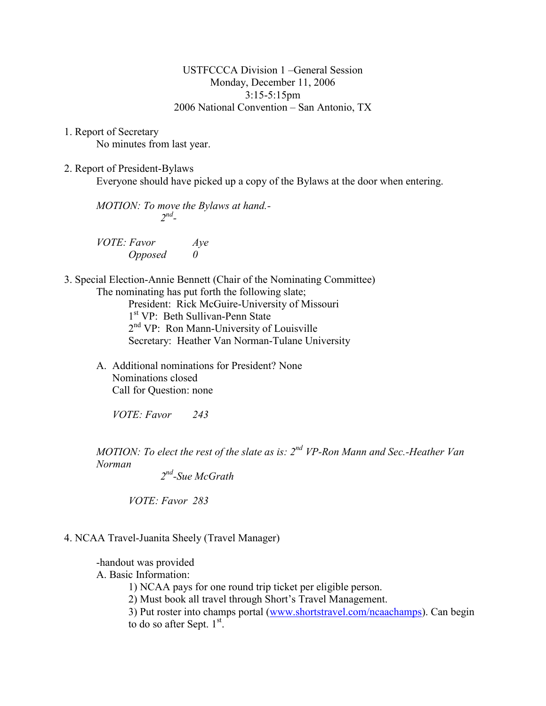## USTFCCCA Division 1 –General Session Monday, December 11, 2006 3:15-5:15pm 2006 National Convention – San Antonio, TX

1. Report of Secretary

No minutes from last year.

2. Report of President-Bylaws

Everyone should have picked up a copy of the Bylaws at the door when entering.

*MOTION: To move the Bylaws at hand.- 2 nd -*

*VOTE: Favor Aye Opposed 0*

3. Special Election-Annie Bennett (Chair of the Nominating Committee)

The nominating has put forth the following slate; President: Rick McGuire-University of Missouri 1 st VP: Beth Sullivan-Penn State 2<sup>nd</sup> VP: Ron Mann-University of Louisville Secretary: Heather Van Norman-Tulane University

A. Additional nominations for President? None Nominations closed Call for Question: none

*VOTE: Favor 243*

*MOTION: To elect the rest of the slate as is: 2nd VP-Ron Mann and Sec.-Heather Van Norman*

*2 nd -Sue McGrath*

*VOTE: Favor 283*

4. NCAA Travel-Juanita Sheely (Travel Manager)

-handout was provided

A. Basic Information:

- 1) NCAA pays for one round trip ticket per eligible person.
- 2) Must book all travel through Short's Travel Management.
- 3) Put roster into champs portal [\(www.shortstravel.com/ncaachamps\)](http://www.shortstravel.com/ncaachamps). Can begin to do so after Sept.  $1<sup>st</sup>$ .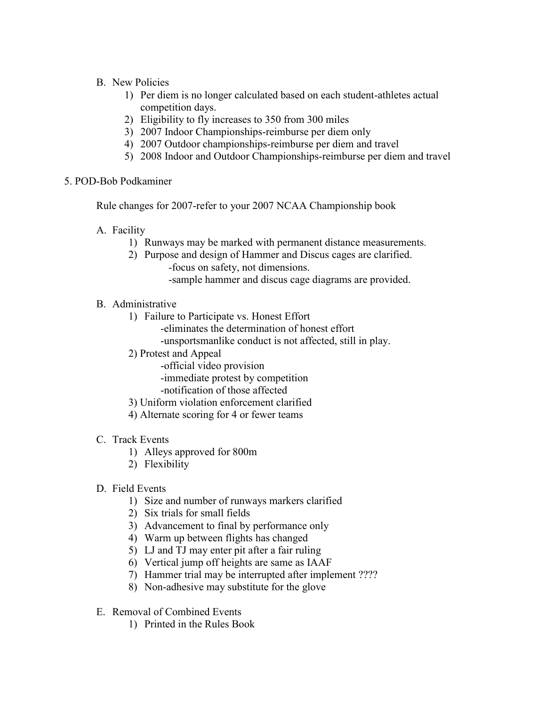- B. New Policies
	- 1) Per diem is no longer calculated based on each student-athletes actual competition days.
	- 2) Eligibility to fly increases to 350 from 300 miles
	- 3) 2007 Indoor Championships-reimburse per diem only
	- 4) 2007 Outdoor championships-reimburse per diem and travel
	- 5) 2008 Indoor and Outdoor Championships-reimburse per diem and travel
- 5. POD-Bob Podkaminer

Rule changes for 2007-refer to your 2007 NCAA Championship book

- A. Facility
	- 1) Runways may be marked with permanent distance measurements.
	- 2) Purpose and design of Hammer and Discus cages are clarified. -focus on safety, not dimensions.
		- -sample hammer and discus cage diagrams are provided.
- B. Administrative
	- 1) Failure to Participate vs. Honest Effort -eliminates the determination of honest effort -unsportsmanlike conduct is not affected, still in play.
	- 2) Protest and Appeal
		- -official video provision
		- -immediate protest by competition
		- -notification of those affected
	- 3) Uniform violation enforcement clarified
	- 4) Alternate scoring for 4 or fewer teams
- C. Track Events
	- 1) Alleys approved for 800m
	- 2) Flexibility
- D. Field Events
	- 1) Size and number of runways markers clarified
	- 2) Six trials for small fields
	- 3) Advancement to final by performance only
	- 4) Warm up between flights has changed
	- 5) LJ and TJ may enter pit after a fair ruling
	- 6) Vertical jump off heights are same as IAAF
	- 7) Hammer trial may be interrupted after implement ????
	- 8) Non-adhesive may substitute for the glove
- E. Removal of Combined Events
	- 1) Printed in the Rules Book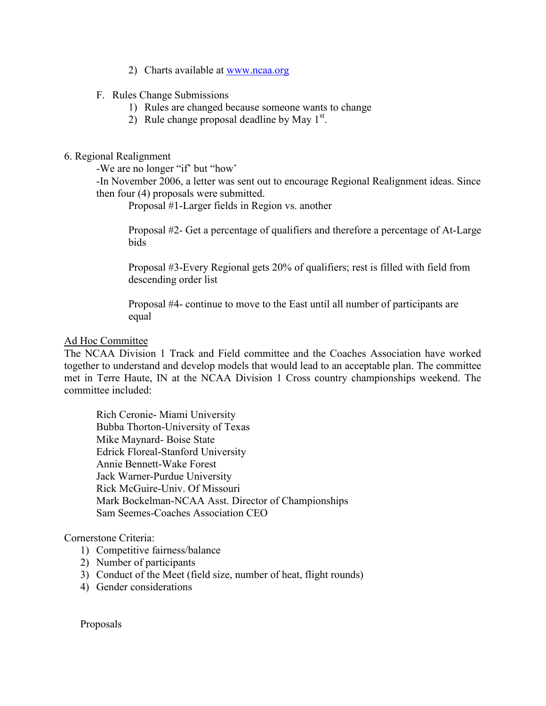- 2) Charts available at [www.ncaa.org](http://www.ncaa.org/)
- F. Rules Change Submissions
	- 1) Rules are changed because someone wants to change
	- 2) Rule change proposal deadline by May  $1<sup>st</sup>$ .

## 6. Regional Realignment

-We are no longer "if' but "how'

-In November 2006, a letter was sent out to encourage Regional Realignment ideas. Since then four (4) proposals were submitted.

Proposal #1-Larger fields in Region vs. another

Proposal #2- Get a percentage of qualifiers and therefore a percentage of At-Large bids

Proposal #3-Every Regional gets 20% of qualifiers; rest is filled with field from descending order list

Proposal #4- continue to move to the East until all number of participants are equal

## Ad Hoc Committee

The NCAA Division 1 Track and Field committee and the Coaches Association have worked together to understand and develop models that would lead to an acceptable plan. The committee met in Terre Haute, IN at the NCAA Division 1 Cross country championships weekend. The committee included:

Rich Ceronie- Miami University Bubba Thorton-University of Texas Mike Maynard- Boise State Edrick Floreal-Stanford University Annie Bennett-Wake Forest Jack Warner-Purdue University Rick McGuire-Univ. Of Missouri Mark Bockelman-NCAA Asst. Director of Championships Sam Seemes-Coaches Association CEO

Cornerstone Criteria:

- 1) Competitive fairness/balance
- 2) Number of participants
- 3) Conduct of the Meet (field size, number of heat, flight rounds)
- 4) Gender considerations

Proposals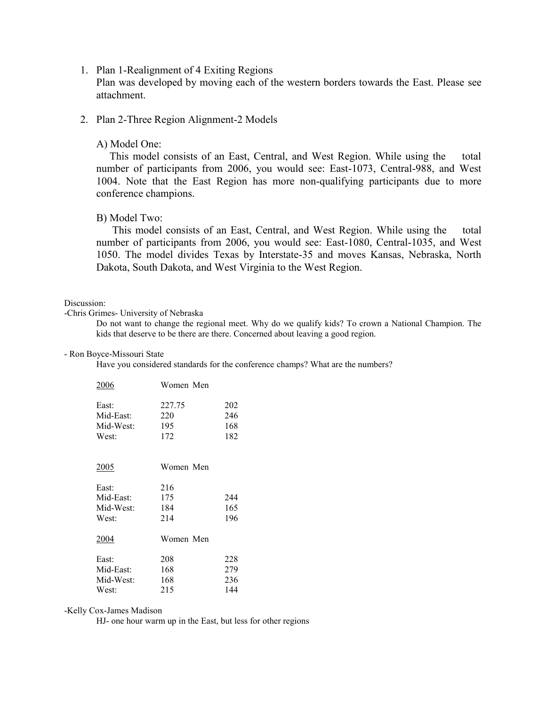#### 1. Plan 1-Realignment of 4 Exiting Regions

Plan was developed by moving each of the western borders towards the East. Please see attachment.

#### 2. Plan 2-Three Region Alignment-2 Models

#### A) Model One:

 This model consists of an East, Central, and West Region. While using the total number of participants from 2006, you would see: East-1073, Central-988, and West 1004. Note that the East Region has more non-qualifying participants due to more conference champions.

#### B) Model Two:

 This model consists of an East, Central, and West Region. While using the total number of participants from 2006, you would see: East-1080, Central-1035, and West 1050. The model divides Texas by Interstate-35 and moves Kansas, Nebraska, North Dakota, South Dakota, and West Virginia to the West Region.

#### Discussion:

#### -Chris Grimes- University of Nebraska

Do not want to change the regional meet. Why do we qualify kids? To crown a National Champion. The kids that deserve to be there are there. Concerned about leaving a good region.

#### - Ron Boyce-Missouri State

Have you considered standards for the conference champs? What are the numbers?

| 2006      | Women Men |     |
|-----------|-----------|-----|
| East:     | 227.75    | 202 |
| Mid-East: | 220       | 246 |
| Mid-West: | 195       | 168 |
| West:     | 172       | 182 |
| 2005      | Women Men |     |
| East:     | 216       |     |
| Mid-East: | 175       | 244 |
| Mid-West: | 184       | 165 |
| West:     | 214       | 196 |
| 2004      | Women Men |     |
| East:     | 208       | 228 |
| Mid-East: | 168       | 279 |
| Mid-West: | 168       | 236 |
| West:     | 215       | 144 |
|           |           |     |

#### -Kelly Cox-James Madison

HJ- one hour warm up in the East, but less for other regions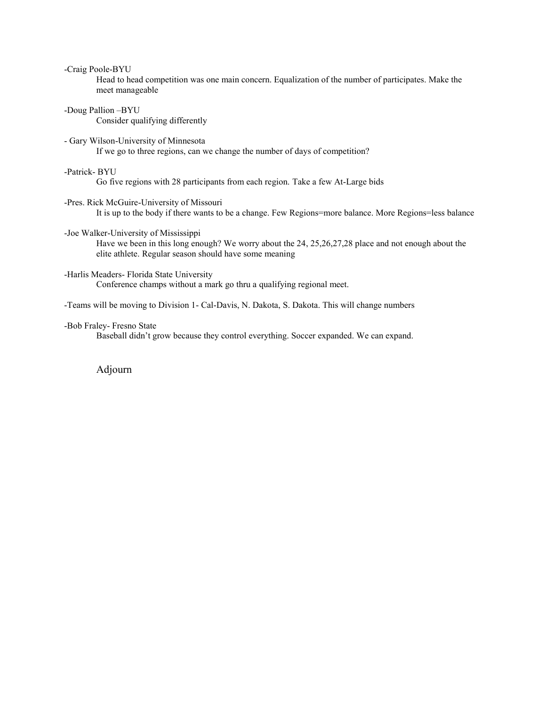-Craig Poole-BYU

Head to head competition was one main concern. Equalization of the number of participates. Make the meet manageable

-Doug Pallion –BYU

Consider qualifying differently

- Gary Wilson-University of Minnesota

If we go to three regions, can we change the number of days of competition?

#### -Patrick- BYU

Go five regions with 28 participants from each region. Take a few At-Large bids

-Pres. Rick McGuire-University of Missouri

It is up to the body if there wants to be a change. Few Regions=more balance. More Regions=less balance

#### -Joe Walker-University of Mississippi

Have we been in this long enough? We worry about the 24, 25,26,27,28 place and not enough about the elite athlete. Regular season should have some meaning

#### -Harlis Meaders- Florida State University

Conference champs without a mark go thru a qualifying regional meet.

-Teams will be moving to Division 1- Cal-Davis, N. Dakota, S. Dakota. This will change numbers

#### -Bob Fraley- Fresno State

Baseball didn't grow because they control everything. Soccer expanded. We can expand.

## Adjourn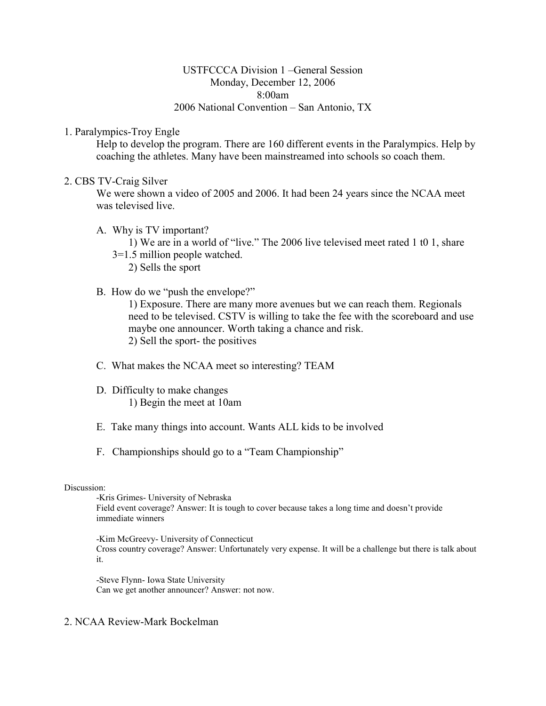## USTFCCCA Division 1 –General Session Monday, December 12, 2006 8:00am

## 2006 National Convention – San Antonio, TX

## 1. Paralympics-Troy Engle

Help to develop the program. There are 160 different events in the Paralympics. Help by coaching the athletes. Many have been mainstreamed into schools so coach them.

## 2. CBS TV-Craig Silver

We were shown a video of 2005 and 2006. It had been 24 years since the NCAA meet was televised live.

A. Why is TV important?

1) We are in a world of "live." The 2006 live televised meet rated 1 t0 1, share 3=1.5 million people watched.

2) Sells the sport

## B. How do we "push the envelope?"

1) Exposure. There are many more avenues but we can reach them. Regionals need to be televised. CSTV is willing to take the fee with the scoreboard and use maybe one announcer. Worth taking a chance and risk. 2) Sell the sport- the positives

- C. What makes the NCAA meet so interesting? TEAM
- D. Difficulty to make changes 1) Begin the meet at 10am
- E. Take many things into account. Wants ALL kids to be involved
- F. Championships should go to a "Team Championship"

#### Discussion:

-Kris Grimes- University of Nebraska Field event coverage? Answer: It is tough to cover because takes a long time and doesn't provide immediate winners

-Kim McGreevy- University of Connecticut Cross country coverage? Answer: Unfortunately very expense. It will be a challenge but there is talk about it.

-Steve Flynn- Iowa State University Can we get another announcer? Answer: not now.

## 2. NCAA Review-Mark Bockelman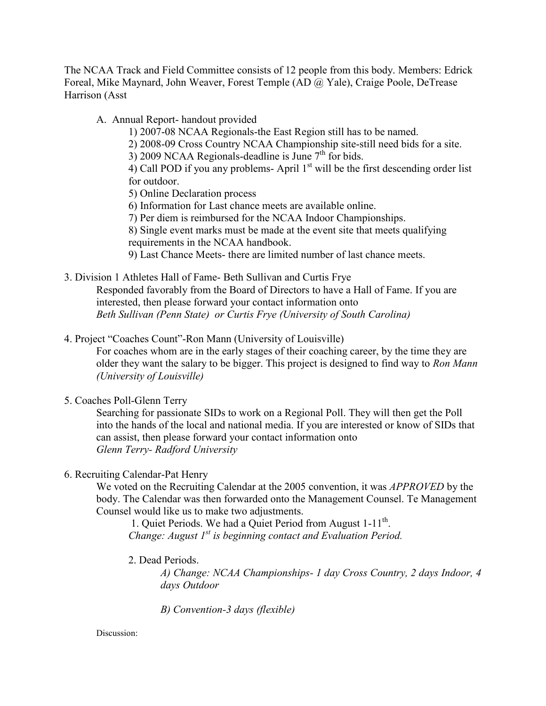The NCAA Track and Field Committee consists of 12 people from this body. Members: Edrick Foreal, Mike Maynard, John Weaver, Forest Temple (AD @ Yale), Craige Poole, DeTrease Harrison (Asst

A. Annual Report- handout provided

1) 2007-08 NCAA Regionals-the East Region still has to be named.

2) 2008-09 Cross Country NCAA Championship site-still need bids for a site.

3) 2009 NCAA Regionals-deadline is June  $7<sup>th</sup>$  for bids.

4) Call POD if you any problems- April  $1<sup>st</sup>$  will be the first descending order list for outdoor.

5) Online Declaration process

6) Information for Last chance meets are available online.

7) Per diem is reimbursed for the NCAA Indoor Championships.

8) Single event marks must be made at the event site that meets qualifying requirements in the NCAA handbook.

- 9) Last Chance Meets- there are limited number of last chance meets.
- 3. Division 1 Athletes Hall of Fame- Beth Sullivan and Curtis Frye Responded favorably from the Board of Directors to have a Hall of Fame. If you are interested, then please forward your contact information onto *Beth Sullivan (Penn State) or Curtis Frye (University of South Carolina)*
- 4. Project "Coaches Count"-Ron Mann (University of Louisville)

For coaches whom are in the early stages of their coaching career, by the time they are older they want the salary to be bigger. This project is designed to find way to *Ron Mann (University of Louisville)*

5. Coaches Poll-Glenn Terry

Searching for passionate SIDs to work on a Regional Poll. They will then get the Poll into the hands of the local and national media. If you are interested or know of SIDs that can assist, then please forward your contact information onto *Glenn Terry- Radford University*

6. Recruiting Calendar-Pat Henry

We voted on the Recruiting Calendar at the 2005 convention, it was *APPROVED* by the body. The Calendar was then forwarded onto the Management Counsel. Te Management Counsel would like us to make two adjustments.

1. Quiet Periods. We had a Quiet Period from August 1-11<sup>th</sup>. *Change: August 1st is beginning contact and Evaluation Period.*

2. Dead Periods.

*A) Change: NCAA Championships- 1 day Cross Country, 2 days Indoor, 4 days Outdoor*

*B) Convention-3 days (flexible)*

Discussion: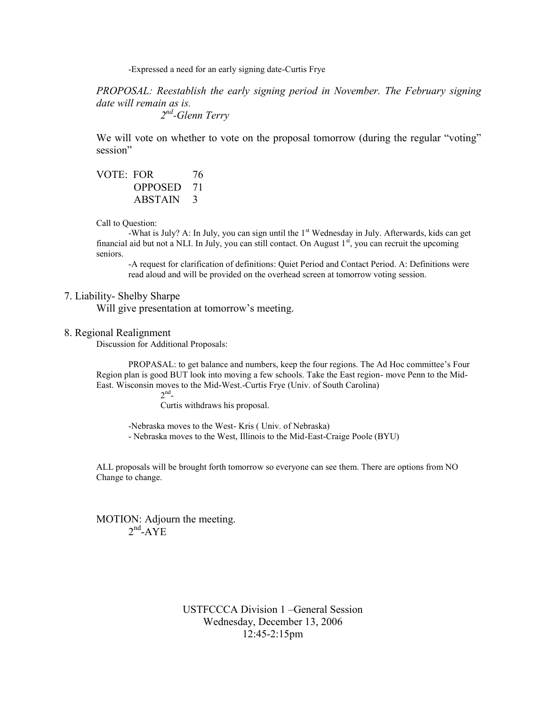-Expressed a need for an early signing date-Curtis Frye

*PROPOSAL: Reestablish the early signing period in November. The February signing date will remain as is.*

*2 nd -Glenn Terry*

We will vote on whether to vote on the proposal tomorrow (during the regular "voting" session"

VOTE: FOR 76 OPPOSED 71 ABSTAIN 3

Call to Question:

-What is July? A: In July, you can sign until the 1<sup>st</sup> Wednesday in July. Afterwards, kids can get financial aid but not a NLI. In July, you can still contact. On August  $1<sup>st</sup>$ , you can recruit the upcoming seniors.

-A request for clarification of definitions: Quiet Period and Contact Period. A: Definitions were read aloud and will be provided on the overhead screen at tomorrow voting session.

#### 7. Liability- Shelby Sharpe

Will give presentation at tomorrow's meeting.

8. Regional Realignment

Discussion for Additional Proposals:

PROPASAL: to get balance and numbers, keep the four regions. The Ad Hoc committee's Four Region plan is good BUT look into moving a few schools. Take the East region- move Penn to the Mid-East. Wisconsin moves to the Mid-West.-Curtis Frye (Univ. of South Carolina)

 $2<sup>nd</sup>$ -

Curtis withdraws his proposal.

-Nebraska moves to the West- Kris ( Univ. of Nebraska)

- Nebraska moves to the West, Illinois to the Mid-East-Craige Poole (BYU)

ALL proposals will be brought forth tomorrow so everyone can see them. There are options from NO Change to change.

MOTION: Adjourn the meeting.  $2<sup>nd</sup>$ -AYE

> USTFCCCA Division 1 –General Session Wednesday, December 13, 2006 12:45-2:15pm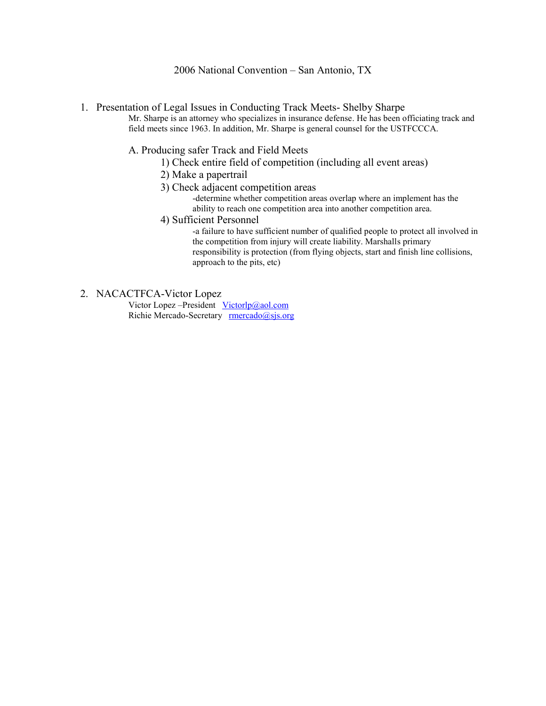2006 National Convention – San Antonio, TX

1. Presentation of Legal Issues in Conducting Track Meets- Shelby Sharpe

Mr. Sharpe is an attorney who specializes in insurance defense. He has been officiating track and field meets since 1963. In addition, Mr. Sharpe is general counsel for the USTFCCCA.

A. Producing safer Track and Field Meets

- 1) Check entire field of competition (including all event areas)
- 2) Make a papertrail
- 3) Check adjacent competition areas

-determine whether competition areas overlap where an implement has the ability to reach one competition area into another competition area.

4) Sufficient Personnel

-a failure to have sufficient number of qualified people to protect all involved in the competition from injury will create liability. Marshalls primary responsibility is protection (from flying objects, start and finish line collisions, approach to the pits, etc)

2. NACACTFCA-Victor Lopez

Victor Lopez –President [Victorlp@aol.com](mailto:Victorlp@aol.com) Richie Mercado-Secretary [rmercado@sjs.org](mailto:rmercado@sjs.org)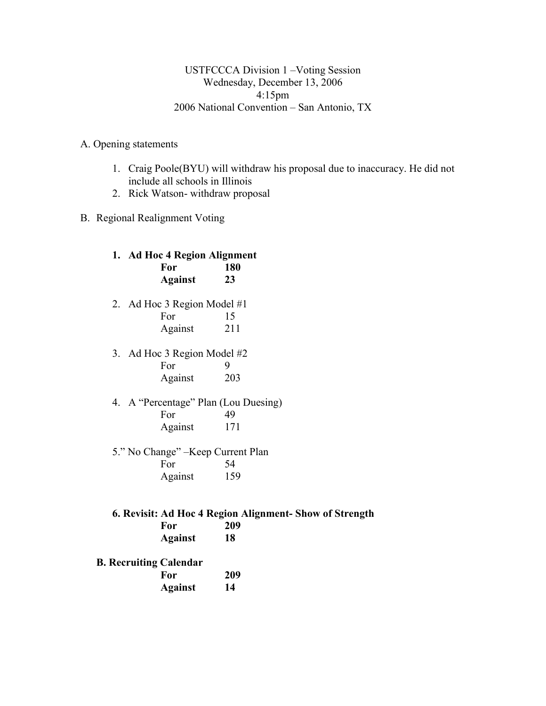## USTFCCCA Division 1 –Voting Session Wednesday, December 13, 2006 4:15pm 2006 National Convention – San Antonio, TX

## A. Opening statements

- 1. Craig Poole(BYU) will withdraw his proposal due to inaccuracy. He did not include all schools in Illinois
- 2. Rick Watson- withdraw proposal
- B. Regional Realignment Voting

## **1. Ad Hoc 4 Region Alignment For 180 Against 23**

2. Ad Hoc 3 Region Model #1 For 15

| Against | 211 |
|---------|-----|
|         |     |

3. Ad Hoc 3 Region Model #2 For 9

| Against | 203 |
|---------|-----|
|         |     |

- 4. A "Percentage" Plan (Lou Duesing) For 49 Against 171
- 5." No Change" –Keep Current Plan For 54 Against 159

# **6. Revisit: Ad Hoc 4 Region Alignment- Show of Strength For 209**

- **Against 18**
- **B. Recruiting Calendar**

| For            | 209 |
|----------------|-----|
| <b>Against</b> | 14  |